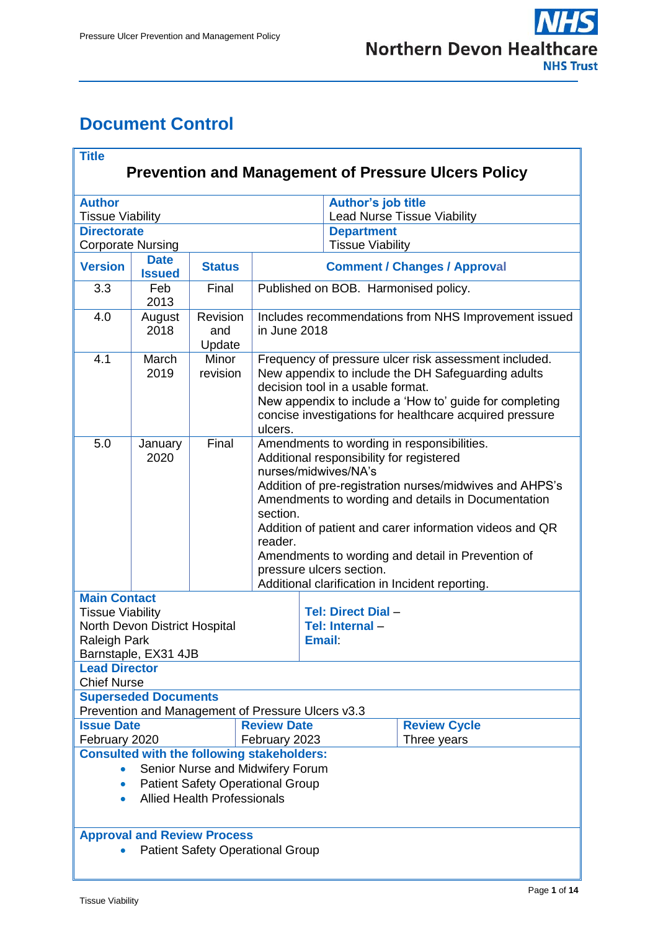# <span id="page-0-0"></span>**Document Control**

| <b>Title</b><br><b>Prevention and Management of Pressure Ulcers Policy</b>                                                                                                          |                              |                           |                                                   |                                                                                                                                                                                                                                                                                                                                                                                                                                            |                                                          |                                    |  |  |  |
|-------------------------------------------------------------------------------------------------------------------------------------------------------------------------------------|------------------------------|---------------------------|---------------------------------------------------|--------------------------------------------------------------------------------------------------------------------------------------------------------------------------------------------------------------------------------------------------------------------------------------------------------------------------------------------------------------------------------------------------------------------------------------------|----------------------------------------------------------|------------------------------------|--|--|--|
| <b>Author</b><br><b>Tissue Viability</b>                                                                                                                                            |                              |                           |                                                   |                                                                                                                                                                                                                                                                                                                                                                                                                                            | Author's job title<br><b>Lead Nurse Tissue Viability</b> |                                    |  |  |  |
| <b>Directorate</b><br><b>Corporate Nursing</b>                                                                                                                                      |                              |                           |                                                   |                                                                                                                                                                                                                                                                                                                                                                                                                                            | <b>Department</b><br><b>Tissue Viability</b>             |                                    |  |  |  |
| <b>Version</b>                                                                                                                                                                      | <b>Date</b><br><b>Issued</b> | <b>Status</b>             |                                                   | <b>Comment / Changes / Approval</b>                                                                                                                                                                                                                                                                                                                                                                                                        |                                                          |                                    |  |  |  |
| 3.3                                                                                                                                                                                 | Feb<br>2013                  | Final                     |                                                   | Published on BOB. Harmonised policy.                                                                                                                                                                                                                                                                                                                                                                                                       |                                                          |                                    |  |  |  |
| 4.0                                                                                                                                                                                 | August<br>2018               | Revision<br>and<br>Update |                                                   | Includes recommendations from NHS Improvement issued<br>in June 2018                                                                                                                                                                                                                                                                                                                                                                       |                                                          |                                    |  |  |  |
| 4.1                                                                                                                                                                                 | March<br>2019                | Minor<br>revision         | ulcers.                                           | Frequency of pressure ulcer risk assessment included.<br>New appendix to include the DH Safeguarding adults<br>decision tool in a usable format.<br>New appendix to include a 'How to' guide for completing<br>concise investigations for healthcare acquired pressure                                                                                                                                                                     |                                                          |                                    |  |  |  |
| 5.0                                                                                                                                                                                 | January<br>2020              | Final                     | reader.                                           | Amendments to wording in responsibilities.<br>Additional responsibility for registered<br>nurses/midwives/NA's<br>Addition of pre-registration nurses/midwives and AHPS's<br>Amendments to wording and details in Documentation<br>section.<br>Addition of patient and carer information videos and QR<br>Amendments to wording and detail in Prevention of<br>pressure ulcers section.<br>Additional clarification in Incident reporting. |                                                          |                                    |  |  |  |
| <b>Main Contact</b><br><b>Tissue Viability</b><br>North Devon District Hospital<br><b>Raleigh Park</b><br>Barnstaple, EX31 4JB<br><b>Lead Director</b>                              |                              |                           |                                                   | <b>Tel: Direct Dial -</b><br>Tel: Internal-<br>Email:                                                                                                                                                                                                                                                                                                                                                                                      |                                                          |                                    |  |  |  |
| <b>Chief Nurse</b>                                                                                                                                                                  | <b>Superseded Documents</b>  |                           |                                                   |                                                                                                                                                                                                                                                                                                                                                                                                                                            |                                                          |                                    |  |  |  |
|                                                                                                                                                                                     |                              |                           | Prevention and Management of Pressure Ulcers v3.3 |                                                                                                                                                                                                                                                                                                                                                                                                                                            |                                                          |                                    |  |  |  |
| <b>Issue Date</b><br><b>Review Date</b><br>February 2020                                                                                                                            |                              |                           |                                                   | February 2023                                                                                                                                                                                                                                                                                                                                                                                                                              |                                                          | <b>Review Cycle</b><br>Three years |  |  |  |
| <b>Consulted with the following stakeholders:</b><br>Senior Nurse and Midwifery Forum<br><b>Patient Safety Operational Group</b><br><b>Allied Health Professionals</b><br>$\bullet$ |                              |                           |                                                   |                                                                                                                                                                                                                                                                                                                                                                                                                                            |                                                          |                                    |  |  |  |
| <b>Approval and Review Process</b><br><b>Patient Safety Operational Group</b>                                                                                                       |                              |                           |                                                   |                                                                                                                                                                                                                                                                                                                                                                                                                                            |                                                          |                                    |  |  |  |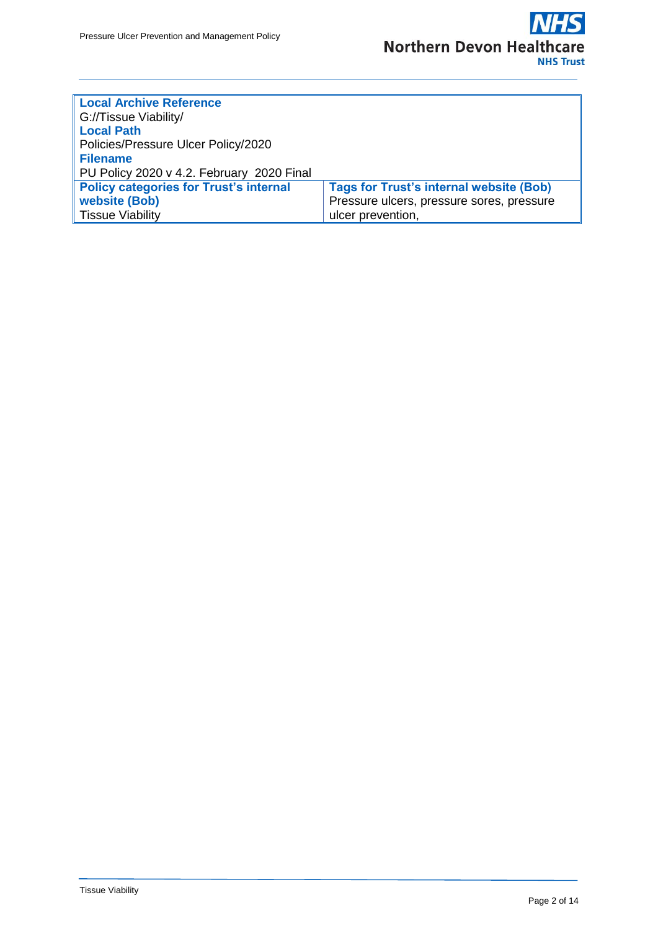

| <b>Local Archive Reference</b>                |                                                |  |  |  |  |
|-----------------------------------------------|------------------------------------------------|--|--|--|--|
| G://Tissue Viability/                         |                                                |  |  |  |  |
| <b>Local Path</b>                             |                                                |  |  |  |  |
| Policies/Pressure Ulcer Policy/2020           |                                                |  |  |  |  |
| <b>Filename</b>                               |                                                |  |  |  |  |
| PU Policy 2020 v 4.2. February 2020 Final     |                                                |  |  |  |  |
| <b>Policy categories for Trust's internal</b> | <b>Tags for Trust's internal website (Bob)</b> |  |  |  |  |
| website (Bob)                                 | Pressure ulcers, pressure sores, pressure      |  |  |  |  |
| <b>Tissue Viability</b>                       | ulcer prevention,                              |  |  |  |  |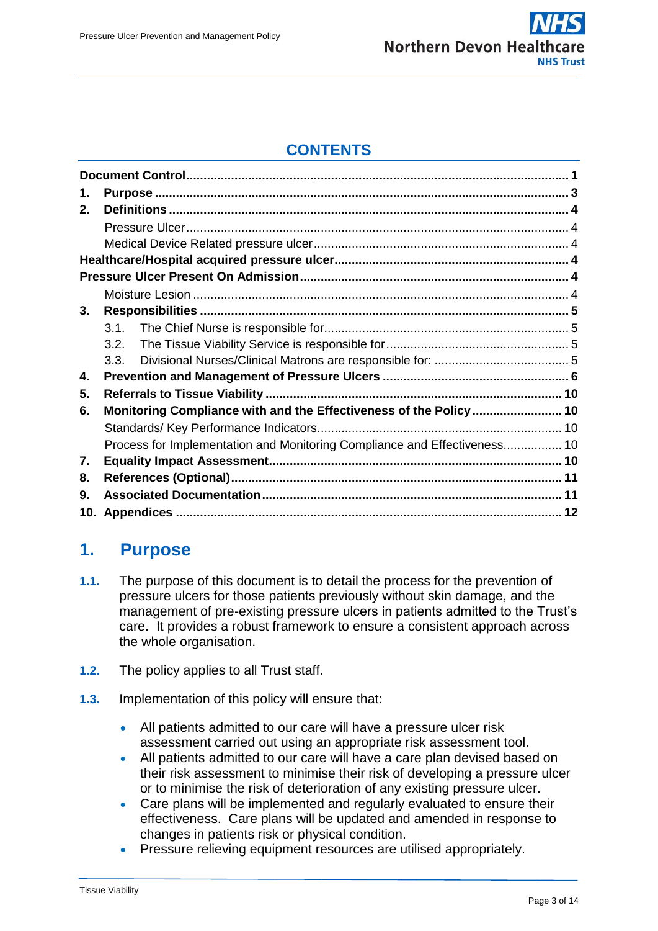

## **CONTENTS**

| 1. |                                                                           |  |  |  |  |
|----|---------------------------------------------------------------------------|--|--|--|--|
| 2. |                                                                           |  |  |  |  |
|    |                                                                           |  |  |  |  |
|    |                                                                           |  |  |  |  |
|    |                                                                           |  |  |  |  |
|    |                                                                           |  |  |  |  |
|    |                                                                           |  |  |  |  |
| 3. |                                                                           |  |  |  |  |
|    | 3.1                                                                       |  |  |  |  |
|    | 3.2.                                                                      |  |  |  |  |
|    | 3.3.                                                                      |  |  |  |  |
| 4. |                                                                           |  |  |  |  |
| 5. |                                                                           |  |  |  |  |
| 6. | Monitoring Compliance with and the Effectiveness of the Policy  10        |  |  |  |  |
|    |                                                                           |  |  |  |  |
|    | Process for Implementation and Monitoring Compliance and Effectiveness 10 |  |  |  |  |
| 7. |                                                                           |  |  |  |  |
| 8. |                                                                           |  |  |  |  |
| 9. |                                                                           |  |  |  |  |
|    |                                                                           |  |  |  |  |

## <span id="page-2-0"></span>**1. Purpose**

- **1.1.** The purpose of this document is to detail the process for the prevention of pressure ulcers for those patients previously without skin damage, and the management of pre-existing pressure ulcers in patients admitted to the Trust's care. It provides a robust framework to ensure a consistent approach across the whole organisation.
- **1.2.** The policy applies to all Trust staff.
- **1.3.** Implementation of this policy will ensure that:
	- All patients admitted to our care will have a pressure ulcer risk assessment carried out using an appropriate risk assessment tool.
	- All patients admitted to our care will have a care plan devised based on their risk assessment to minimise their risk of developing a pressure ulcer or to minimise the risk of deterioration of any existing pressure ulcer.
	- Care plans will be implemented and regularly evaluated to ensure their effectiveness. Care plans will be updated and amended in response to changes in patients risk or physical condition.
	- Pressure relieving equipment resources are utilised appropriately.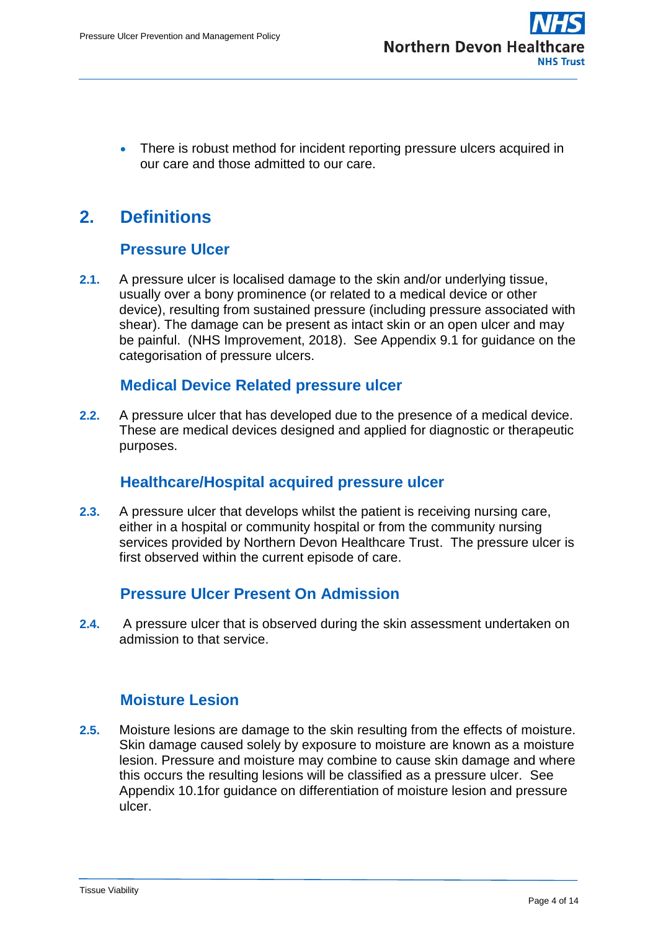• There is robust method for incident reporting pressure ulcers acquired in our care and those admitted to our care.

# <span id="page-3-0"></span>**2. Definitions**

## **Pressure Ulcer**

<span id="page-3-1"></span>**2.1.** A pressure ulcer is localised damage to the skin and/or underlying tissue, usually over a bony prominence (or related to a medical device or other device), resulting from sustained pressure (including pressure associated with shear). The damage can be present as intact skin or an open ulcer and may be painful. (NHS Improvement, 2018). See Appendix 9.1 for guidance on the categorisation of pressure ulcers.

### **Medical Device Related pressure ulcer**

<span id="page-3-2"></span>**2.2.** A pressure ulcer that has developed due to the presence of a medical device. These are medical devices designed and applied for diagnostic or therapeutic purposes.

## **Healthcare/Hospital acquired pressure ulcer**

<span id="page-3-3"></span>**2.3.** A pressure ulcer that develops whilst the patient is receiving nursing care, either in a hospital or community hospital or from the community nursing services provided by Northern Devon Healthcare Trust. The pressure ulcer is first observed within the current episode of care.

## **Pressure Ulcer Present On Admission**

<span id="page-3-4"></span>**2.4.** A pressure ulcer that is observed during the skin assessment undertaken on admission to that service.

## **Moisture Lesion**

<span id="page-3-5"></span>**2.5.** Moisture lesions are damage to the skin resulting from the effects of moisture. Skin damage caused solely by exposure to moisture are known as a moisture lesion. Pressure and moisture may combine to cause skin damage and where this occurs the resulting lesions will be classified as a pressure ulcer. See Appendix 10.1for guidance on differentiation of moisture lesion and pressure ulcer.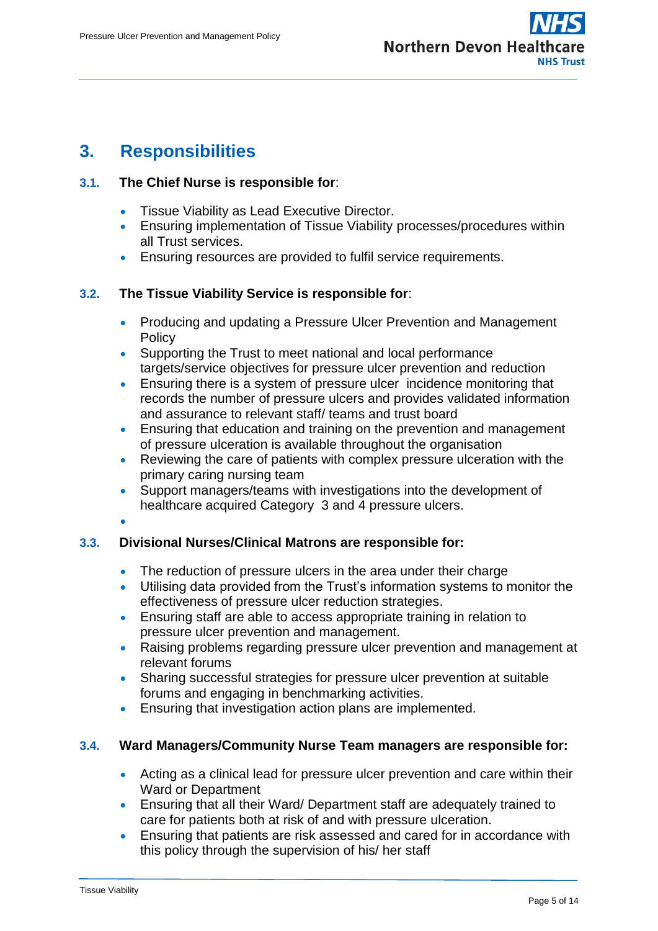## <span id="page-4-0"></span>**3. Responsibilities**

### <span id="page-4-1"></span>**3.1. The Chief Nurse is responsible for**:

- **Tissue Viability as Lead Executive Director.**
- Ensuring implementation of Tissue Viability processes/procedures within all Trust services.
- Ensuring resources are provided to fulfil service requirements.

### <span id="page-4-2"></span>**3.2. The Tissue Viability Service is responsible for**:

- Producing and updating a Pressure Ulcer Prevention and Management **Policy**
- Supporting the Trust to meet national and local performance targets/service objectives for pressure ulcer prevention and reduction
- Ensuring there is a system of pressure ulcer incidence monitoring that records the number of pressure ulcers and provides validated information and assurance to relevant staff/ teams and trust board
- Ensuring that education and training on the prevention and management of pressure ulceration is available throughout the organisation
- Reviewing the care of patients with complex pressure ulceration with the primary caring nursing team
- Support managers/teams with investigations into the development of healthcare acquired Category 3 and 4 pressure ulcers.
- $\bullet$

### <span id="page-4-3"></span>**3.3. Divisional Nurses/Clinical Matrons are responsible for:**

- The reduction of pressure ulcers in the area under their charge
- Utilising data provided from the Trust's information systems to monitor the effectiveness of pressure ulcer reduction strategies.
- Ensuring staff are able to access appropriate training in relation to pressure ulcer prevention and management.
- Raising problems regarding pressure ulcer prevention and management at relevant forums
- Sharing successful strategies for pressure ulcer prevention at suitable forums and engaging in benchmarking activities.
- **Ensuring that investigation action plans are implemented.**

### **3.4. Ward Managers/Community Nurse Team managers are responsible for:**

- Acting as a clinical lead for pressure ulcer prevention and care within their Ward or Department
- Ensuring that all their Ward/ Department staff are adequately trained to care for patients both at risk of and with pressure ulceration.
- Ensuring that patients are risk assessed and cared for in accordance with this policy through the supervision of his/ her staff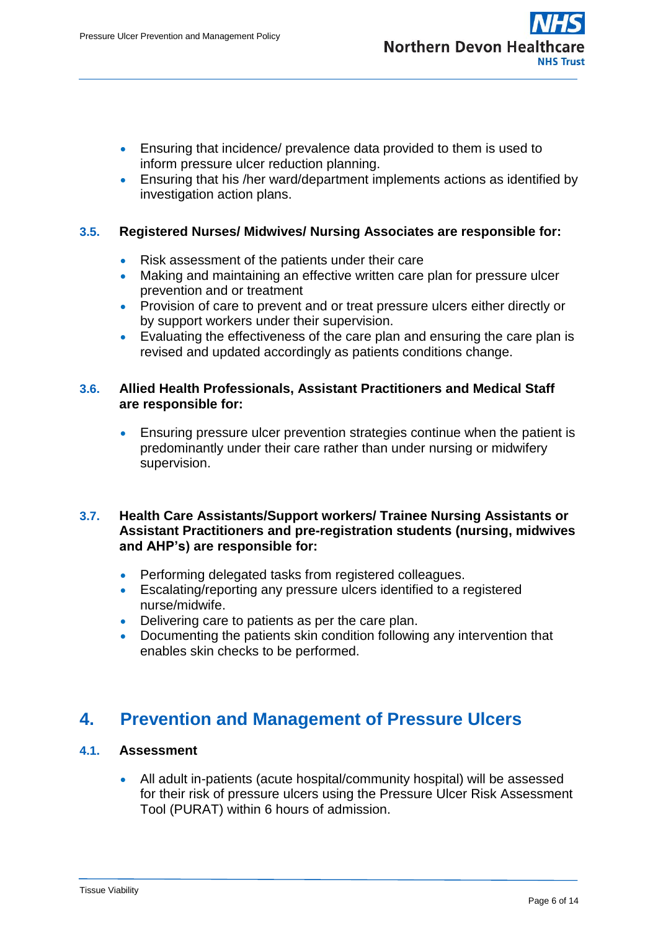- Ensuring that incidence/ prevalence data provided to them is used to inform pressure ulcer reduction planning.
- Ensuring that his /her ward/department implements actions as identified by investigation action plans.

### **3.5. Registered Nurses/ Midwives/ Nursing Associates are responsible for:**

- Risk assessment of the patients under their care
- Making and maintaining an effective written care plan for pressure ulcer prevention and or treatment
- Provision of care to prevent and or treat pressure ulcers either directly or by support workers under their supervision.
- Evaluating the effectiveness of the care plan and ensuring the care plan is revised and updated accordingly as patients conditions change.

#### **3.6. Allied Health Professionals, Assistant Practitioners and Medical Staff are responsible for:**

 Ensuring pressure ulcer prevention strategies continue when the patient is predominantly under their care rather than under nursing or midwifery supervision.

#### **3.7. Health Care Assistants/Support workers/ Trainee Nursing Assistants or Assistant Practitioners and pre-registration students (nursing, midwives and AHP's) are responsible for:**

- Performing delegated tasks from registered colleagues.
- Escalating/reporting any pressure ulcers identified to a registered nurse/midwife.
- Delivering care to patients as per the care plan.
- Documenting the patients skin condition following any intervention that enables skin checks to be performed.

## <span id="page-5-0"></span>**4. Prevention and Management of Pressure Ulcers**

### **4.1. Assessment**

 All adult in-patients (acute hospital/community hospital) will be assessed for their risk of pressure ulcers using the Pressure Ulcer Risk Assessment Tool (PURAT) within 6 hours of admission.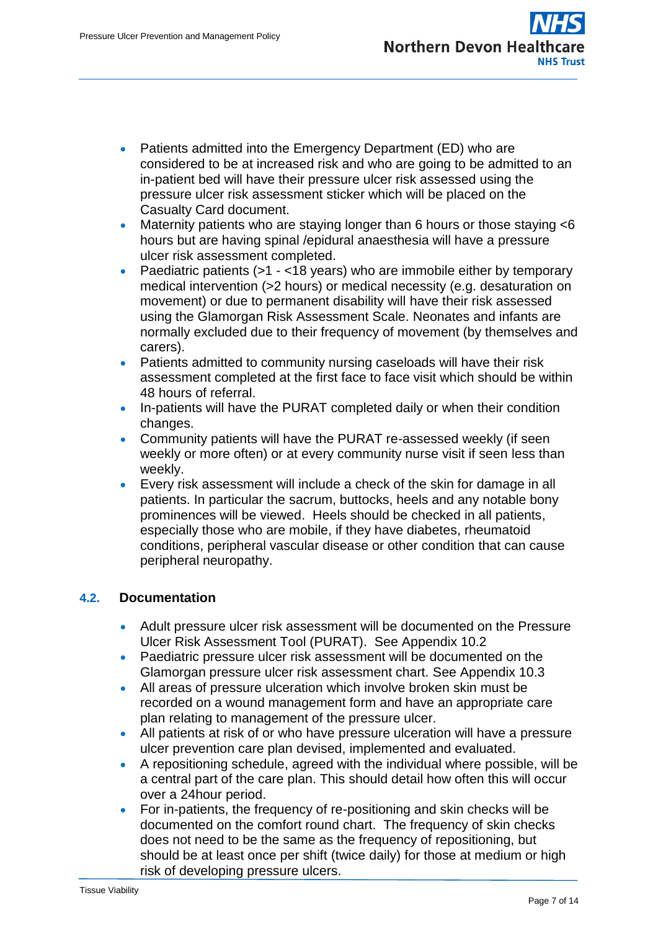- Patients admitted into the Emergency Department (ED) who are considered to be at increased risk and who are going to be admitted to an in-patient bed will have their pressure ulcer risk assessed using the pressure ulcer risk assessment sticker which will be placed on the Casualty Card document.
- Maternity patients who are staying longer than 6 hours or those staying <6 hours but are having spinal /epidural anaesthesia will have a pressure ulcer risk assessment completed.
- Paediatric patients  $($ >1 <18 years) who are immobile either by temporary medical intervention (>2 hours) or medical necessity (e.g. desaturation on movement) or due to permanent disability will have their risk assessed using the Glamorgan Risk Assessment Scale. Neonates and infants are normally excluded due to their frequency of movement (by themselves and carers).
- Patients admitted to community nursing caseloads will have their risk assessment completed at the first face to face visit which should be within 48 hours of referral.
- In-patients will have the PURAT completed daily or when their condition changes.
- Community patients will have the PURAT re-assessed weekly (if seen weekly or more often) or at every community nurse visit if seen less than weekly.
- Every risk assessment will include a check of the skin for damage in all patients. In particular the sacrum, buttocks, heels and any notable bony prominences will be viewed. Heels should be checked in all patients, especially those who are mobile, if they have diabetes, rheumatoid conditions, peripheral vascular disease or other condition that can cause peripheral neuropathy.

### **4.2. Documentation**

- Adult pressure ulcer risk assessment will be documented on the Pressure Ulcer Risk Assessment Tool (PURAT). See Appendix 10.2
- Paediatric pressure ulcer risk assessment will be documented on the Glamorgan pressure ulcer risk assessment chart. See Appendix 10.3
- All areas of pressure ulceration which involve broken skin must be recorded on a wound management form and have an appropriate care plan relating to management of the pressure ulcer.
- All patients at risk of or who have pressure ulceration will have a pressure ulcer prevention care plan devised, implemented and evaluated.
- A repositioning schedule, agreed with the individual where possible, will be a central part of the care plan. This should detail how often this will occur over a 24hour period.
- For in-patients, the frequency of re-positioning and skin checks will be documented on the comfort round chart. The frequency of skin checks does not need to be the same as the frequency of repositioning, but should be at least once per shift (twice daily) for those at medium or high risk of developing pressure ulcers.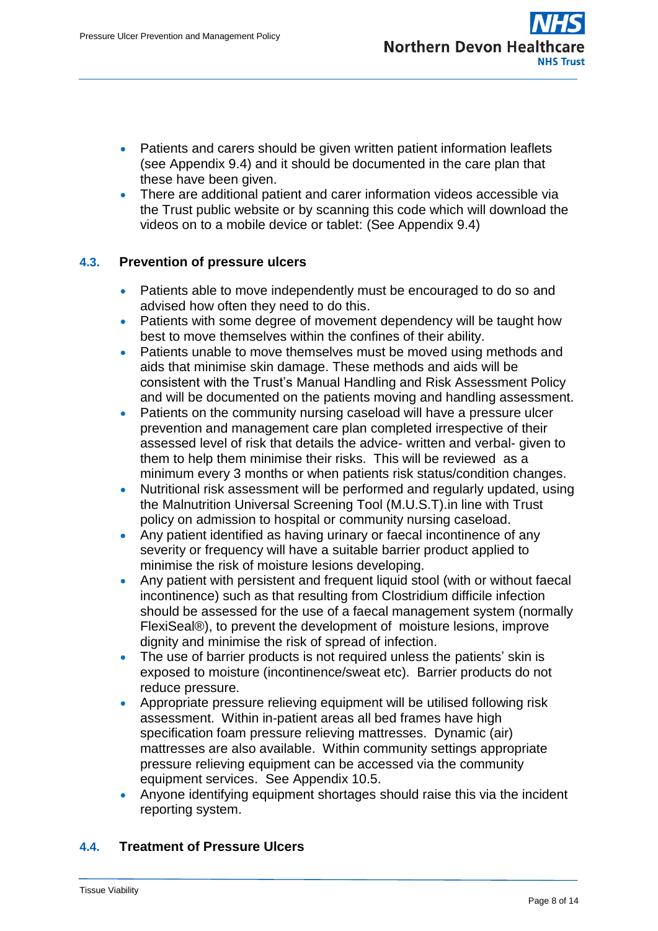- Patients and carers should be given written patient information leaflets (see Appendix 9.4) and it should be documented in the care plan that these have been given.
- There are additional patient and carer information videos accessible via the Trust public website or by scanning this code which will download the videos on to a mobile device or tablet: (See Appendix 9.4)

### **4.3. Prevention of pressure ulcers**

- Patients able to move independently must be encouraged to do so and advised how often they need to do this.
- Patients with some degree of movement dependency will be taught how best to move themselves within the confines of their ability.
- Patients unable to move themselves must be moved using methods and aids that minimise skin damage. These methods and aids will be consistent with the Trust's Manual Handling and Risk Assessment Policy and will be documented on the patients moving and handling assessment.
- Patients on the community nursing caseload will have a pressure ulcer prevention and management care plan completed irrespective of their assessed level of risk that details the advice- written and verbal- given to them to help them minimise their risks. This will be reviewed as a minimum every 3 months or when patients risk status/condition changes.
- Nutritional risk assessment will be performed and regularly updated, using the Malnutrition Universal Screening Tool (M.U.S.T).in line with Trust policy on admission to hospital or community nursing caseload.
- Any patient identified as having urinary or faecal incontinence of any severity or frequency will have a suitable barrier product applied to minimise the risk of moisture lesions developing.
- Any patient with persistent and frequent liquid stool (with or without faecal incontinence) such as that resulting from Clostridium difficile infection should be assessed for the use of a faecal management system (normally FlexiSeal®), to prevent the development of moisture lesions, improve dignity and minimise the risk of spread of infection.
- The use of barrier products is not required unless the patients' skin is exposed to moisture (incontinence/sweat etc). Barrier products do not reduce pressure.
- Appropriate pressure relieving equipment will be utilised following risk assessment. Within in-patient areas all bed frames have high specification foam pressure relieving mattresses. Dynamic (air) mattresses are also available. Within community settings appropriate pressure relieving equipment can be accessed via the community equipment services. See Appendix 10.5.
- Anyone identifying equipment shortages should raise this via the incident reporting system.

### **4.4. Treatment of Pressure Ulcers**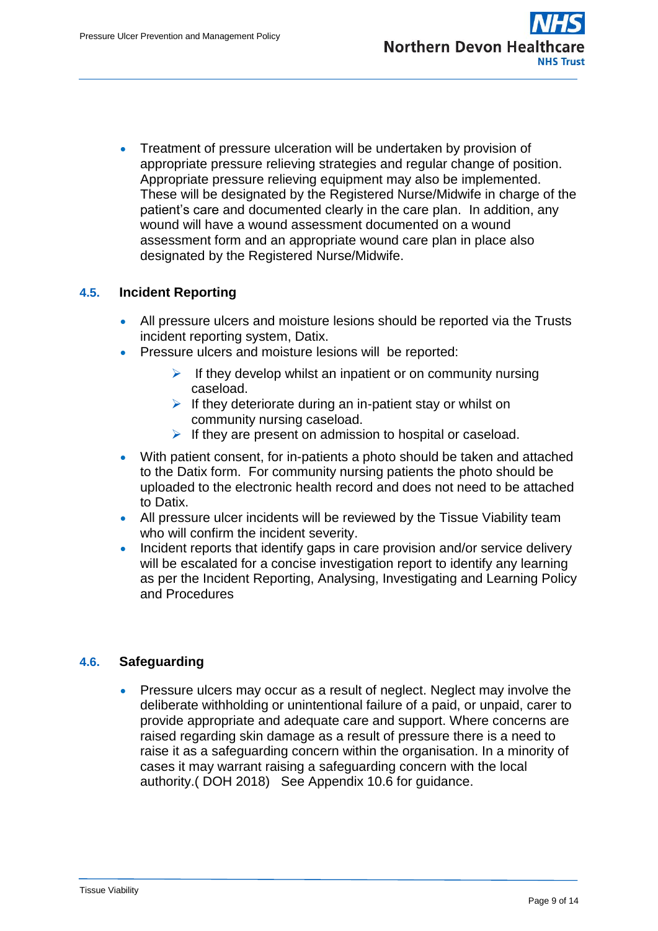Treatment of pressure ulceration will be undertaken by provision of appropriate pressure relieving strategies and regular change of position. Appropriate pressure relieving equipment may also be implemented. These will be designated by the Registered Nurse/Midwife in charge of the patient's care and documented clearly in the care plan. In addition, any wound will have a wound assessment documented on a wound assessment form and an appropriate wound care plan in place also designated by the Registered Nurse/Midwife.

### **4.5. Incident Reporting**

- All pressure ulcers and moisture lesions should be reported via the Trusts incident reporting system, Datix.
- Pressure ulcers and moisture lesions will be reported:
	- $\triangleright$  If they develop whilst an inpatient or on community nursing caseload.
	- $\triangleright$  If they deteriorate during an in-patient stay or whilst on community nursing caseload.
	- If they are present on admission to hospital or caseload.
- With patient consent, for in-patients a photo should be taken and attached to the Datix form. For community nursing patients the photo should be uploaded to the electronic health record and does not need to be attached to Datix.
- All pressure ulcer incidents will be reviewed by the Tissue Viability team who will confirm the incident severity.
- Incident reports that identify gaps in care provision and/or service delivery will be escalated for a concise investigation report to identify any learning as per the Incident Reporting, Analysing, Investigating and Learning Policy and Procedures

### **4.6. Safeguarding**

• Pressure ulcers may occur as a result of neglect. Neglect may involve the deliberate withholding or unintentional failure of a paid, or unpaid, carer to provide appropriate and adequate care and support. Where concerns are raised regarding skin damage as a result of pressure there is a need to raise it as a safeguarding concern within the organisation. In a minority of cases it may warrant raising a safeguarding concern with the local authority.( DOH 2018) See Appendix 10.6 for guidance.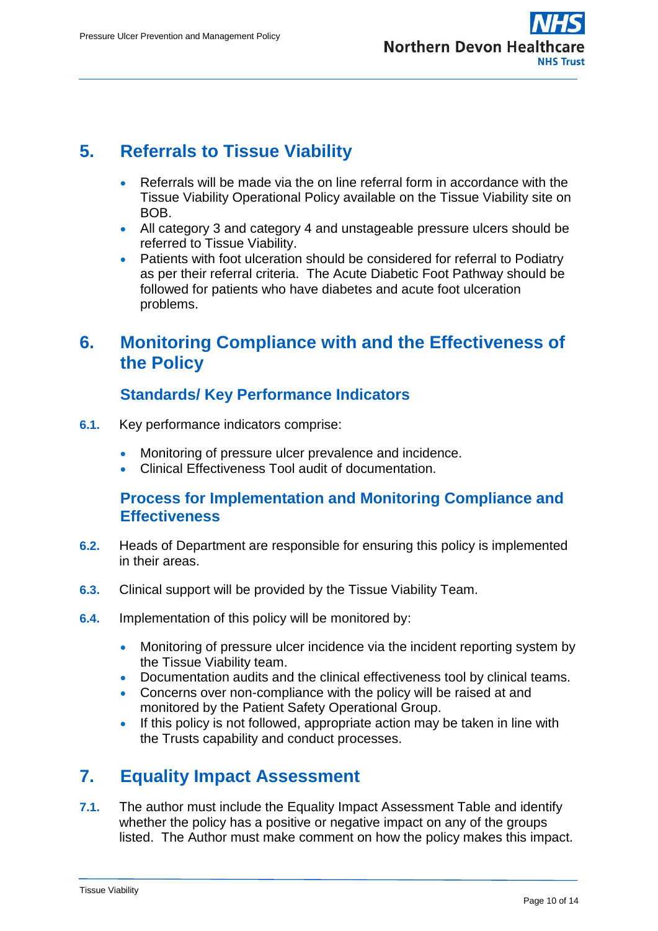

## <span id="page-9-0"></span>**5. Referrals to Tissue Viability**

- Referrals will be made via the on line referral form in accordance with the Tissue Viability Operational Policy available on the Tissue Viability site on BOB.
- All category 3 and category 4 and unstageable pressure ulcers should be referred to Tissue Viability.
- Patients with foot ulceration should be considered for referral to Podiatry as per their referral criteria. The Acute Diabetic Foot Pathway should be followed for patients who have diabetes and acute foot ulceration problems.

## <span id="page-9-1"></span>**6. Monitoring Compliance with and the Effectiveness of the Policy**

## **Standards/ Key Performance Indicators**

- <span id="page-9-2"></span>**6.1.** Key performance indicators comprise:
	- **Monitoring of pressure ulcer prevalence and incidence.**
	- Clinical Effectiveness Tool audit of documentation.

### <span id="page-9-3"></span>**Process for Implementation and Monitoring Compliance and Effectiveness**

- **6.2.** Heads of Department are responsible for ensuring this policy is implemented in their areas.
- **6.3.** Clinical support will be provided by the Tissue Viability Team.
- **6.4.** Implementation of this policy will be monitored by:
	- Monitoring of pressure ulcer incidence via the incident reporting system by the Tissue Viability team.
	- Documentation audits and the clinical effectiveness tool by clinical teams.
	- Concerns over non-compliance with the policy will be raised at and monitored by the Patient Safety Operational Group.
	- If this policy is not followed, appropriate action may be taken in line with the Trusts capability and conduct processes.

## <span id="page-9-4"></span>**7. Equality Impact Assessment**

**7.1.** The author must include the Equality Impact Assessment Table and identify whether the policy has a positive or negative impact on any of the groups listed. The Author must make comment on how the policy makes this impact.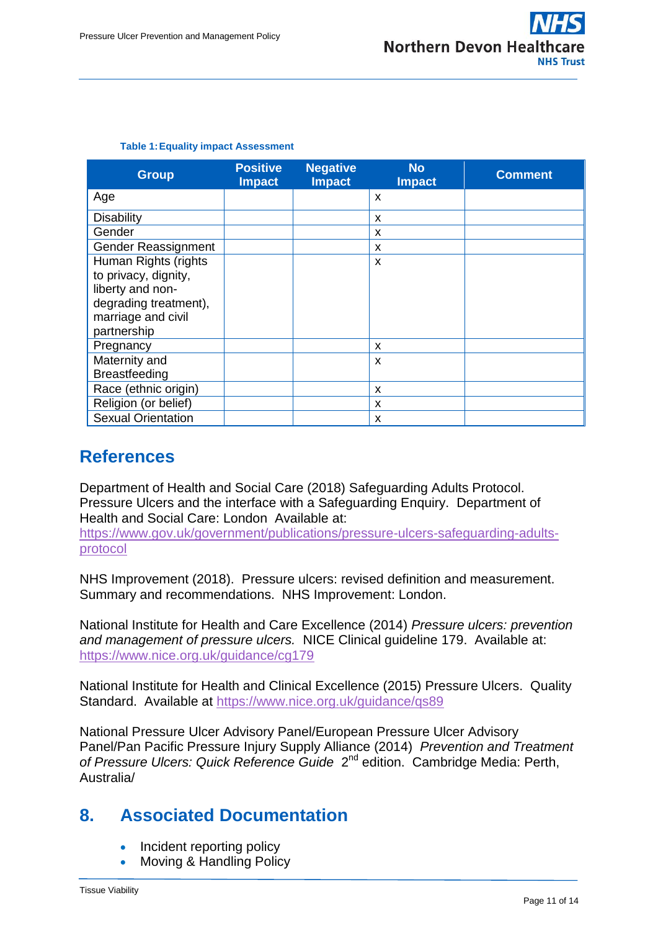| <b>Group</b>              | <b>Positive</b><br><b>Impact</b> | <b>Negative</b><br><b>Impact</b> | <b>No</b><br><b>Impact</b> | <b>Comment</b> |
|---------------------------|----------------------------------|----------------------------------|----------------------------|----------------|
| Age                       |                                  |                                  | X                          |                |
| <b>Disability</b>         |                                  |                                  | X                          |                |
| Gender                    |                                  |                                  | X                          |                |
| Gender Reassignment       |                                  |                                  | x                          |                |
| Human Rights (rights      |                                  |                                  | X                          |                |
| to privacy, dignity,      |                                  |                                  |                            |                |
| liberty and non-          |                                  |                                  |                            |                |
| degrading treatment),     |                                  |                                  |                            |                |
| marriage and civil        |                                  |                                  |                            |                |
| partnership               |                                  |                                  |                            |                |
| Pregnancy                 |                                  |                                  | X                          |                |
| Maternity and             |                                  |                                  | X                          |                |
| <b>Breastfeeding</b>      |                                  |                                  |                            |                |
| Race (ethnic origin)      |                                  |                                  | X                          |                |
| Religion (or belief)      |                                  |                                  | X                          |                |
| <b>Sexual Orientation</b> |                                  |                                  | X                          |                |

#### **Table 1:Equality impact Assessment**

## <span id="page-10-0"></span>**References**

Department of Health and Social Care (2018) Safeguarding Adults Protocol. Pressure Ulcers and the interface with a Safeguarding Enquiry. Department of Health and Social Care: London Available at:

[https://www.gov.uk/government/publications/pressure-ulcers-safeguarding-adults](https://www.gov.uk/government/publications/pressure-ulcers-safeguarding-adults-protocol)[protocol](https://www.gov.uk/government/publications/pressure-ulcers-safeguarding-adults-protocol)

NHS Improvement (2018). Pressure ulcers: revised definition and measurement. Summary and recommendations. NHS Improvement: London.

National Institute for Health and Care Excellence (2014) *Pressure ulcers: prevention and management of pressure ulcers.* NICE Clinical guideline 179. Available at: <https://www.nice.org.uk/guidance/cg179>

National Institute for Health and Clinical Excellence (2015) Pressure Ulcers. Quality Standard. Available at<https://www.nice.org.uk/guidance/qs89>

National Pressure Ulcer Advisory Panel/European Pressure Ulcer Advisory Panel/Pan Pacific Pressure Injury Supply Alliance (2014) *Prevention and Treatment*  of Pressure Ulcers: Quick Reference Guide 2<sup>nd</sup> edition. Cambridge Media: Perth, Australia/

## <span id="page-10-1"></span>**8. Associated Documentation**

- Incident reporting policy
- Moving & Handling Policy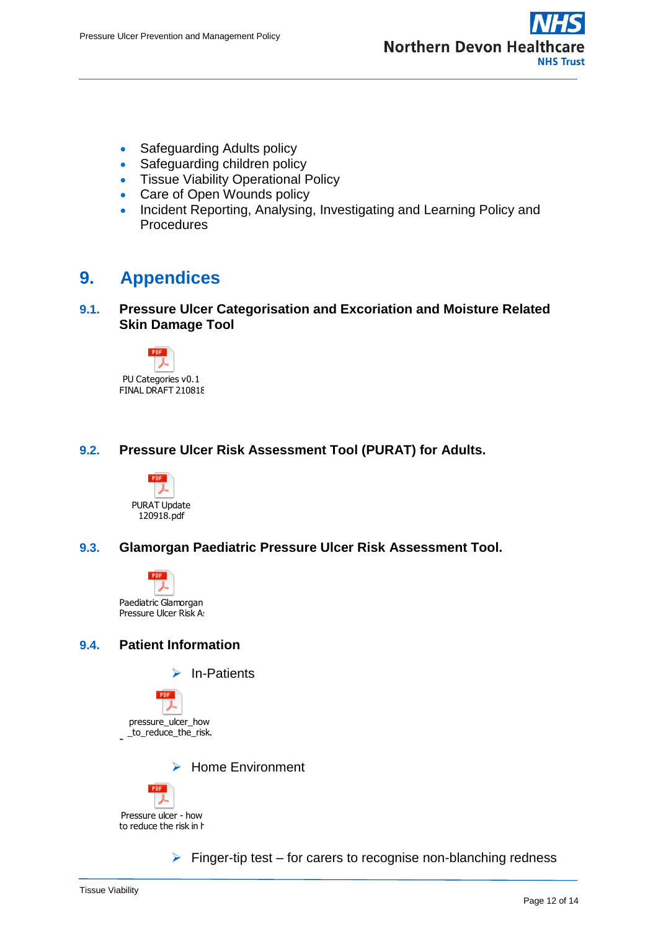

- Safeguarding Adults policy
- Safeguarding children policy
- **Tissue Viability Operational Policy**
- Care of Open Wounds policy
- Incident Reporting, Analysing, Investigating and Learning Policy and **Procedures**

## <span id="page-11-0"></span>**9. Appendices**

**9.1. Pressure Ulcer Categorisation and Excoriation and Moisture Related Skin Damage Tool**



### **9.2. Pressure Ulcer Risk Assessment Tool (PURAT) for Adults.**



### **9.3. Glamorgan Paediatric Pressure Ulcer Risk Assessment Tool.**



### **9.4. Patient Information**



- \_to\_reduce\_the\_risk.pdf pressure\_ulcer\_how

 $\triangleright$  Home Environment



 $\triangleright$  Finger-tip test – for carers to recognise non-blanching redness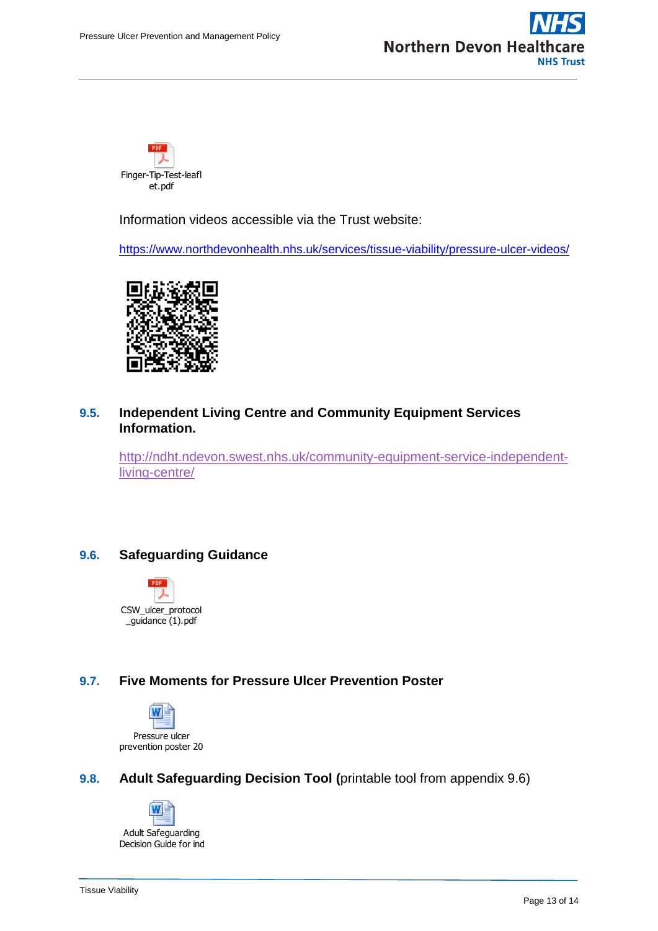



Information videos accessible via the Trust website:

<https://www.northdevonhealth.nhs.uk/services/tissue-viability/pressure-ulcer-videos/>



#### **9.5. Independent Living Centre and Community Equipment Services Information.**

Prince-The-Test-leafly<br>
Information videos accessible via the Trust website:<br>
Information videos accessible via the Trust website:<br>
Information videos/<br> **Page 14 Finally Controllers**<br> **Page 14 Finally Controllers**<br> **Page 1** [http://ndht.ndevon.swest.nhs.uk/community-equipment-service-independent](http://ndht.ndevon.swest.nhs.uk/community-equipment-service-independent-living-centre/)[living-centre/](http://ndht.ndevon.swest.nhs.uk/community-equipment-service-independent-living-centre/)

### **9.6. Safeguarding Guidance**



### **9.7. Five Moments for Pressure Ulcer Prevention Poster**



### **9.8. Adult Safeguarding Decision Tool (**printable tool from appendix 9.6)